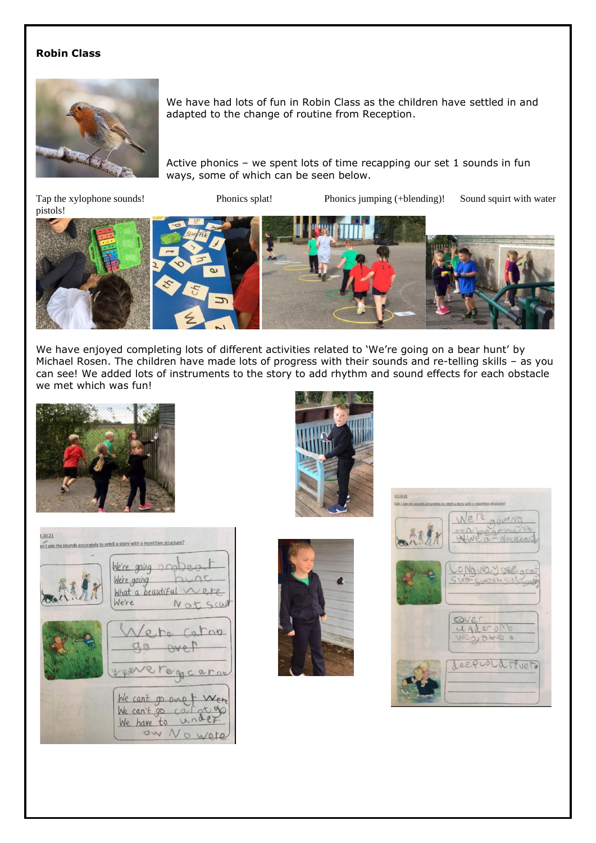## **Robin Class**



We have had lots of fun in Robin Class as the children have settled in and adapted to the change of routine from Reception.

Active phonics – we spent lots of time recapping our set 1 sounds in fun ways, some of which can be seen below.

Tap the xylophone sounds! Phonics splat! Phonics jumping (+blending)! Sound squirt with water





We have enjoyed completing lots of different activities related to 'We're going on a bear hunt' by Michael Rosen. The children have made lots of progress with their sounds and re-telling skills – as you can see! We added lots of instruments to the story to add rhythm and sound effects for each obstacle we met which was fun!









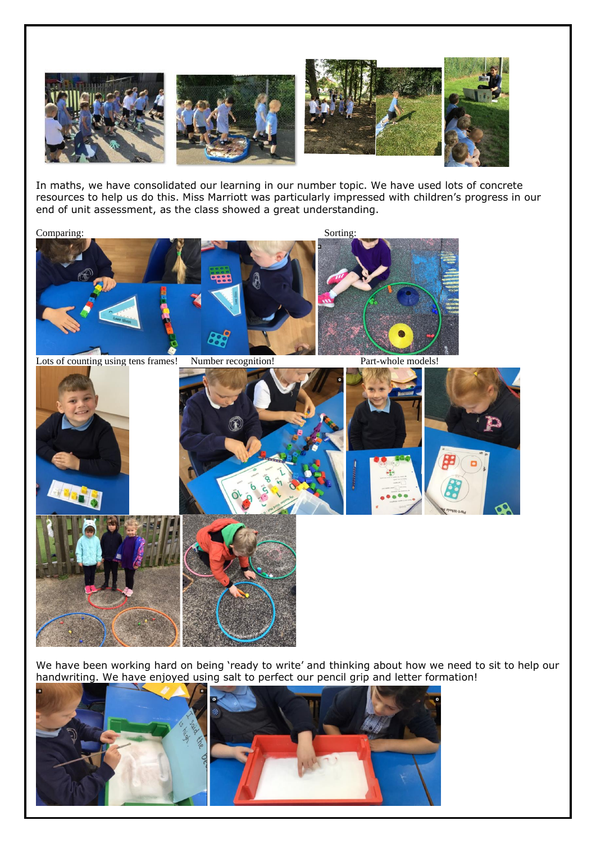

In maths, we have consolidated our learning in our number topic. We have used lots of concrete resources to help us do this. Miss Marriott was particularly impressed with children's progress in our end of unit assessment, as the class showed a great understanding.

Comparing: Sorting: Sorting:



Lots of counting using tens frames! Number recognition! Part-whole models!



We have been working hard on being 'ready to write' and thinking about how we need to sit to help our handwriting. We have enjoyed using salt to perfect our pencil grip and letter formation!